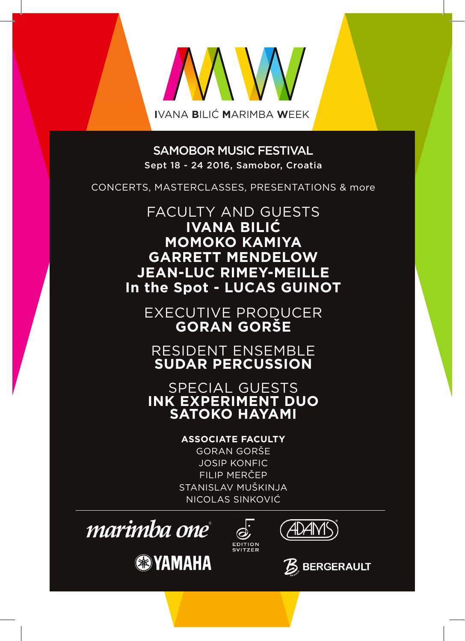

SAMOBOR MUSIC FESTIVAL Sept 18 - 24 2016, Samobor, Croatia

CONCERTS, MASTERCLASSES, PRESENTATIONS & more

FACULTY AND GUESTS **IVANA BILIĆ MOMOKO KAMIYA GARRETT MENDELOW JEAN-LUC RIMEY-MEILLE In the Spot - LUCAS GUINOT**

EXECUTIVE PRODUCER **GORAN GORŠE**

RESIDENT ENSEMBLE **SUDAR PERCUSSION**

SPECIAL GUESTS **INK EXPERIMENT DUO SATOKO HAYAMI**

**ASSOCIATE FACULTY**

GORAN GORŠE JOSIP KONFIC FILIP MERČEP STANISLAV MUŠKINJA NICOLAS SINKOVIĆ



**<sup><sup>3</sup>YAMAHA**</sup>



ADAN